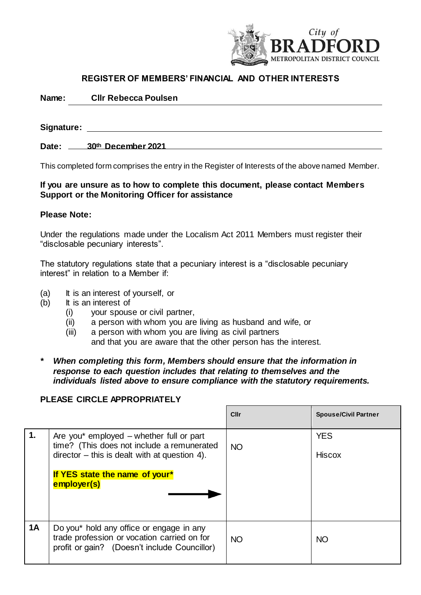

# **REGISTER OF MEMBERS' FINANCIAL AND OTHER INTERESTS**

| Name:<br><b>CIIr Rebecca Poulsen</b> |
|--------------------------------------|
|--------------------------------------|

| Signature: |                    |
|------------|--------------------|
| Date:      | 30th December 2021 |

This completed form comprises the entry in the Register of Interests of the above named Member.

### **If you are unsure as to how to complete this document, please contact Members Support or the Monitoring Officer for assistance**

#### **Please Note:**

Under the regulations made under the Localism Act 2011 Members must register their "disclosable pecuniary interests".

The statutory regulations state that a pecuniary interest is a "disclosable pecuniary interest" in relation to a Member if:

- (a) It is an interest of yourself, or
- (b) It is an interest of
	- (i) your spouse or civil partner,
	- (ii) a person with whom you are living as husband and wife, or
	- (iii) a person with whom you are living as civil partners and that you are aware that the other person has the interest.
- *\* When completing this form, Members should ensure that the information in response to each question includes that relating to themselves and the individuals listed above to ensure compliance with the statutory requirements.*

## **PLEASE CIRCLE APPROPRIATELY**

|           |                                                                                                                                                                                           | Cllr      | <b>Spouse/Civil Partner</b> |
|-----------|-------------------------------------------------------------------------------------------------------------------------------------------------------------------------------------------|-----------|-----------------------------|
| 1.        | Are you* employed – whether full or part<br>time? (This does not include a remunerated<br>$director - this is dealt with at question 4.$<br>If YES state the name of your*<br>employer(s) | <b>NO</b> | <b>YES</b><br><b>Hiscox</b> |
| <b>1A</b> | Do you* hold any office or engage in any<br>trade profession or vocation carried on for<br>profit or gain? (Doesn't include Councillor)                                                   | <b>NO</b> | <b>NO</b>                   |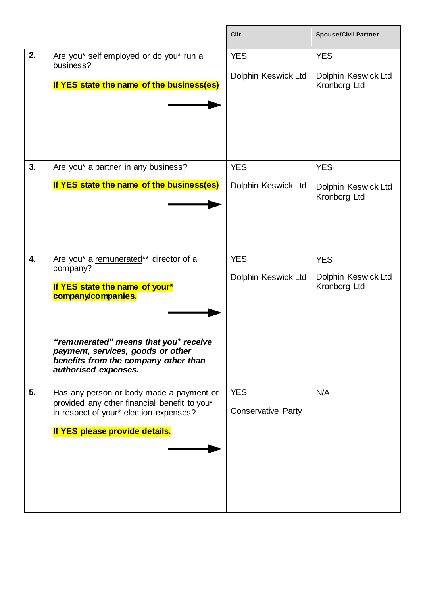|    |                                                                                                                                            | Cllr                              | <b>Spouse/Civil Partner</b>                       |
|----|--------------------------------------------------------------------------------------------------------------------------------------------|-----------------------------------|---------------------------------------------------|
| 2. | Are you* self employed or do you* run a<br>business?<br>If YES state the name of the business(es)                                          | <b>YES</b><br>Dolphin Keswick Ltd | <b>YES</b><br>Dolphin Keswick Ltd<br>Kronborg Ltd |
| 3. | Are you* a partner in any business?                                                                                                        | <b>YES</b>                        | <b>YES</b>                                        |
|    | If YES state the name of the business(es)                                                                                                  | Dolphin Keswick Ltd               | Dolphin Keswick Ltd<br>Kronborg Ltd               |
| 4. | Are you* a remunerated** director of a<br>company?                                                                                         | <b>YES</b>                        | <b>YES</b>                                        |
|    | If YES state the name of your*<br>company/companies.                                                                                       | Dolphin Keswick Ltd               | Dolphin Keswick Ltd<br>Kronborg Ltd               |
|    | "remunerated" means that you* receive<br>payment, services, goods or other<br>benefits from the company other than<br>authorised expenses. |                                   |                                                   |
| 5. | Has any person or body made a payment or<br>provided any other financial benefit to you*                                                   | <b>YES</b>                        | N/A                                               |
|    | in respect of your* election expenses?                                                                                                     | <b>Conservative Party</b>         |                                                   |
|    | If YES please provide details.                                                                                                             |                                   |                                                   |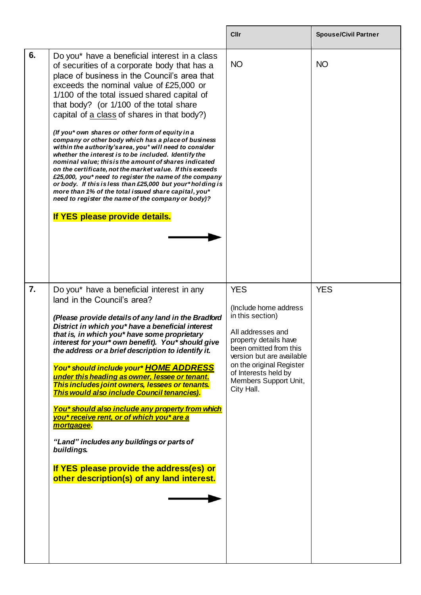|                  |                                                                                                                                                                                                                                                                                                                                                                                                                                                                                                                                                                                                                                                                                                                                                                                                                                                                                                                                                              | Cllr                                                                                                                                                                                                                                                    | <b>Spouse/Civil Partner</b> |
|------------------|--------------------------------------------------------------------------------------------------------------------------------------------------------------------------------------------------------------------------------------------------------------------------------------------------------------------------------------------------------------------------------------------------------------------------------------------------------------------------------------------------------------------------------------------------------------------------------------------------------------------------------------------------------------------------------------------------------------------------------------------------------------------------------------------------------------------------------------------------------------------------------------------------------------------------------------------------------------|---------------------------------------------------------------------------------------------------------------------------------------------------------------------------------------------------------------------------------------------------------|-----------------------------|
| 6.               | Do you* have a beneficial interest in a class<br>of securities of a corporate body that has a<br>place of business in the Council's area that<br>exceeds the nominal value of £25,000 or<br>1/100 of the total issued shared capital of<br>that body? (or 1/100 of the total share<br>capital of a class of shares in that body?)<br>(If you* own shares or other form of equity in a<br>company or other body which has a place of business<br>within the authority's area, you* will need to consider<br>whether the interest is to be included. Identify the<br>nominal value; this is the amount of shares indicated<br>on the certificate, not the market value. If this exceeds<br>£25,000, you* need to register the name of the company<br>or body. If this is less than £25,000 but your*holding is<br>more than 1% of the total issued share capital, you*<br>need to register the name of the company or body)?<br>If YES please provide details. | <b>NO</b>                                                                                                                                                                                                                                               | <b>NO</b>                   |
| $\overline{7}$ . | Do you* have a beneficial interest in any<br>land in the Council's area?<br>(Please provide details of any land in the Bradford<br>District in which you* have a beneficial interest<br>that is, in which you* have some proprietary<br>interest for your* own benefit). You* should give<br>the address or a brief description to identify it.<br>You* should include your* HOME ADDRESS<br>under this heading as owner, lessee or tenant.<br>This includes joint owners, lessees or tenants.<br>This would also include Council tenancies).<br>You* should also include any property from which<br>you* receive rent, or of which you* are a<br>mortgagee.<br>"Land" includes any buildings or parts of<br>buildings.<br>If YES please provide the address(es) or<br>other description(s) of any land interest.                                                                                                                                            | <b>YES</b><br>(Include home address<br>in this section)<br>All addresses and<br>property details have<br>been omitted from this<br>version but are available<br>on the original Register<br>of Interests held by<br>Members Support Unit,<br>City Hall. | <b>YES</b>                  |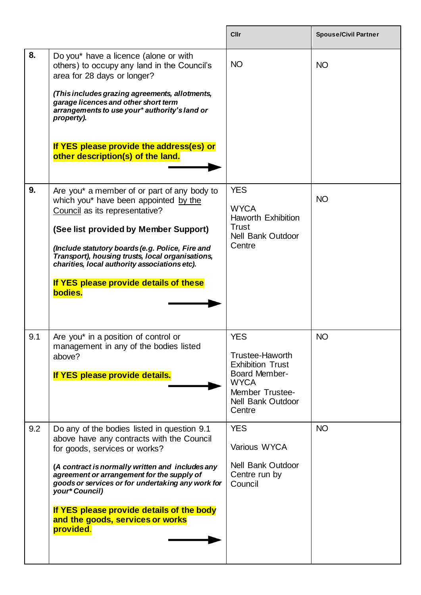|     |                                                                                                                                                                                                                                                                                                                                                                                                  | Cllr                                                                                                                                                            | <b>Spouse/Civil Partner</b> |
|-----|--------------------------------------------------------------------------------------------------------------------------------------------------------------------------------------------------------------------------------------------------------------------------------------------------------------------------------------------------------------------------------------------------|-----------------------------------------------------------------------------------------------------------------------------------------------------------------|-----------------------------|
| 8.  | Do you* have a licence (alone or with<br>others) to occupy any land in the Council's<br>area for 28 days or longer?<br>(This includes grazing agreements, allotments,<br>garage licences and other short term<br>arrangements to use your* authority's land or<br>property).<br>If YES please provide the address(es) or<br>other description(s) of the land.                                    | <b>NO</b>                                                                                                                                                       | <b>NO</b>                   |
| 9.  | Are you* a member of or part of any body to<br>which you* have been appointed by the<br>Council as its representative?<br>(See list provided by Member Support)<br>(Include statutory boards (e.g. Police, Fire and<br>Transport), housing trusts, local organisations,<br>charities, local authority associations etc).<br>If YES please provide details of these<br>bodies.                    | <b>YES</b><br><b>WYCA</b><br><b>Haworth Exhibition</b><br><b>Trust</b><br><b>Nell Bank Outdoor</b><br>Centre                                                    | <b>NO</b>                   |
| 9.1 | Are you* in a position of control or<br>management in any of the bodies listed<br>above?<br>If YES please provide details.                                                                                                                                                                                                                                                                       | <b>YES</b><br><b>Trustee-Haworth</b><br><b>Exhibition Trust</b><br><b>Board Member-</b><br><b>WYCA</b><br>Member Trustee-<br><b>Nell Bank Outdoor</b><br>Centre | <b>NO</b>                   |
| 9.2 | Do any of the bodies listed in question 9.1<br>above have any contracts with the Council<br>for goods, services or works?<br>(A contract is normally written and includes any<br>agreement or arrangement for the supply of<br>goods or services or for undertaking any work for<br>your* Council)<br>If YES please provide details of the body<br>and the goods, services or works<br>provided. | <b>YES</b><br>Various WYCA<br><b>Nell Bank Outdoor</b><br>Centre run by<br>Council                                                                              | <b>NO</b>                   |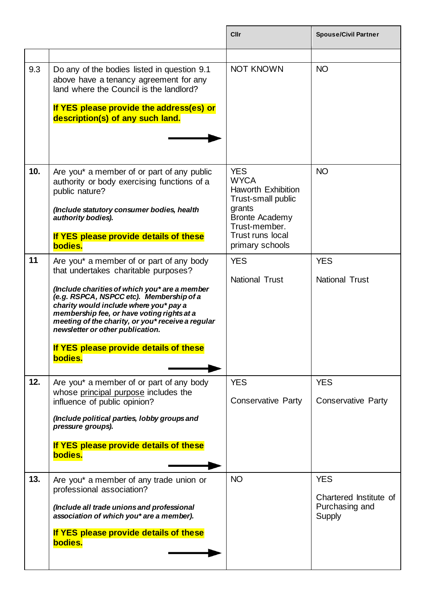|     |                                                                                                                                                                                                                                                                                                                                                                                                                     | Cllr                                                                                                                                                                           | <b>Spouse/Civil Partner</b>                                      |
|-----|---------------------------------------------------------------------------------------------------------------------------------------------------------------------------------------------------------------------------------------------------------------------------------------------------------------------------------------------------------------------------------------------------------------------|--------------------------------------------------------------------------------------------------------------------------------------------------------------------------------|------------------------------------------------------------------|
| 9.3 | Do any of the bodies listed in question 9.1<br>above have a tenancy agreement for any<br>land where the Council is the landlord?<br>If YES please provide the address(es) or<br>description(s) of any such land.                                                                                                                                                                                                    | <b>NOT KNOWN</b>                                                                                                                                                               | <b>NO</b>                                                        |
| 10. | Are you* a member of or part of any public<br>authority or body exercising functions of a<br>public nature?<br>(Include statutory consumer bodies, health<br>authority bodies).<br>If YES please provide details of these<br>bodies.                                                                                                                                                                                | <b>YES</b><br><b>WYCA</b><br><b>Haworth Exhibition</b><br>Trust-small public<br>grants<br><b>Bronte Academy</b><br>Trust-member.<br><b>Trust runs local</b><br>primary schools | <b>NO</b>                                                        |
| 11  | Are you* a member of or part of any body<br>that undertakes charitable purposes?<br>(Include charities of which you* are a member<br>(e.g. RSPCA, NSPCC etc). Membership of a<br>charity would include where you* pay a<br>membership fee, or have voting rights at a<br>meeting of the charity, or you* receive a regular<br>newsletter or other publication.<br>If YES please provide details of these<br>bodies. | <b>YES</b><br><b>National Trust</b>                                                                                                                                            | <b>YES</b><br><b>National Trust</b>                              |
| 12. | Are you* a member of or part of any body<br>whose principal purpose includes the<br>influence of public opinion?<br>(Include political parties, lobby groups and<br>pressure groups).<br>If YES please provide details of these<br>bodies.                                                                                                                                                                          | <b>YES</b><br><b>Conservative Party</b>                                                                                                                                        | <b>YES</b><br><b>Conservative Party</b>                          |
| 13. | Are you* a member of any trade union or<br>professional association?<br>(Include all trade unions and professional<br>association of which you* are a member).<br>If YES please provide details of these<br>bodies.                                                                                                                                                                                                 | <b>NO</b>                                                                                                                                                                      | <b>YES</b><br>Chartered Institute of<br>Purchasing and<br>Supply |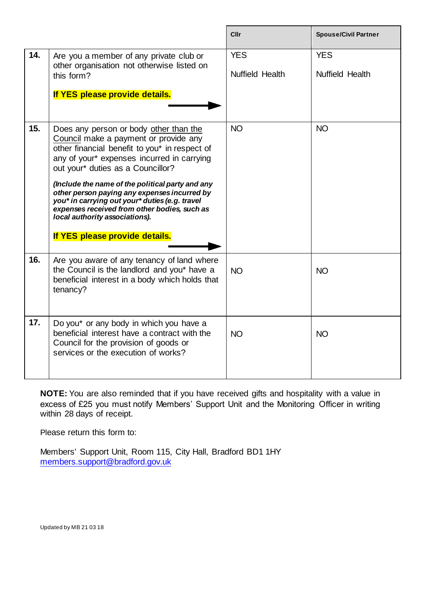|     |                                                                                                                                                                                                                                                                                                                                                                                                                                                                                               | <b>Cllr</b>                          | <b>Spouse/Civil Partner</b>   |
|-----|-----------------------------------------------------------------------------------------------------------------------------------------------------------------------------------------------------------------------------------------------------------------------------------------------------------------------------------------------------------------------------------------------------------------------------------------------------------------------------------------------|--------------------------------------|-------------------------------|
| 14. | Are you a member of any private club or<br>other organisation not otherwise listed on<br>this form?<br>If YES please provide details.                                                                                                                                                                                                                                                                                                                                                         | <b>YES</b><br><b>Nuffield Health</b> | <b>YES</b><br>Nuffield Health |
| 15. | Does any person or body other than the<br>Council make a payment or provide any<br>other financial benefit to you* in respect of<br>any of your* expenses incurred in carrying<br>out your* duties as a Councillor?<br>(Include the name of the political party and any<br>other person paying any expenses incurred by<br>you* in carrying out your* duties (e.g. travel<br>expenses received from other bodies, such as<br>local authority associations).<br>If YES please provide details. | <b>NO</b>                            | <b>NO</b>                     |
| 16. | Are you aware of any tenancy of land where<br>the Council is the landlord and you* have a<br>beneficial interest in a body which holds that<br>tenancy?                                                                                                                                                                                                                                                                                                                                       | <b>NO</b>                            | <b>NO</b>                     |
| 17. | Do you* or any body in which you have a<br>beneficial interest have a contract with the<br>Council for the provision of goods or<br>services or the execution of works?                                                                                                                                                                                                                                                                                                                       | <b>NO</b>                            | <b>NO</b>                     |

**NOTE:** You are also reminded that if you have received gifts and hospitality with a value in excess of £25 you must notify Members' Support Unit and the Monitoring Officer in writing within 28 days of receipt.

Please return this form to:

Members' Support Unit, Room 115, City Hall, Bradford BD1 1HY [members.support@bradford.gov.uk](mailto:members.support@bradford.gov.uk)